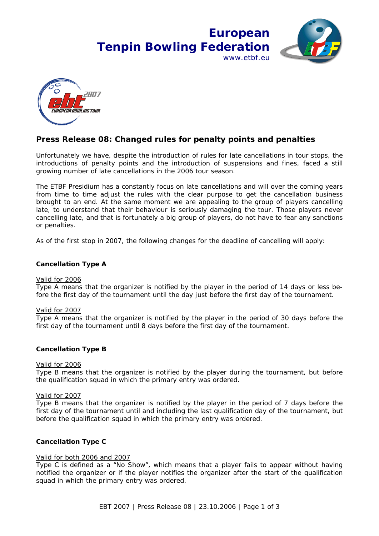



# **Press Release 08: Changed rules for penalty points and penalties**

Unfortunately we have, despite the introduction of rules for late cancellations in tour stops, the introductions of penalty points and the introduction of suspensions and fines, faced a still growing number of late cancellations in the 2006 tour season.

The ETBF Presidium has a constantly focus on late cancellations and will over the coming years from time to time adjust the rules with the clear purpose to get the cancellation business brought to an end. At the same moment we are appealing to the group of players cancelling late, to understand that their behaviour is seriously damaging the tour. Those players never cancelling late, and that is fortunately a big group of players, do not have to fear any sanctions or penalties.

As of the first stop in 2007, the following changes for the deadline of cancelling will apply:

# **Cancellation Type A**

# Valid for 2006

Type A means that the organizer is notified by the player in the period of 14 days or less before the first day of the tournament until the day just before the first day of the tournament.

# *Valid for 2007*

*Type A means that the organizer is notified by the player in the period of 30 days before the first day of the tournament until 8 days before the first day of the tournament.* 

# **Cancellation Type B**

# Valid for 2006

Type B means that the organizer is notified by the player during the tournament, but before the qualification squad in which the primary entry was ordered.

# *Valid for 2007*

*Type B means that the organizer is notified by the player in the period of 7 days before the first day of the tournament until and including the last qualification day of the tournament, but before the qualification squad in which the primary entry was ordered.* 

# **Cancellation Type C**

# Valid for both 2006 and 2007

Type C is defined as a "No Show", which means that a player fails to appear without having notified the organizer or if the player notifies the organizer after the start of the qualification squad in which the primary entry was ordered.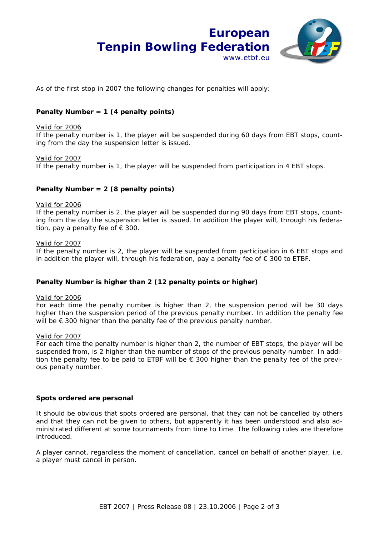

As of the first stop in 2007 the following changes for penalties will apply:

# **Penalty Number = 1 (4 penalty points)**

#### Valid for 2006

If the penalty number is 1, the player will be suspended during 60 days from EBT stops, counting from the day the suspension letter is issued.

#### *Valid for 2007*

*If the penalty number is 1, the player will be suspended from participation in 4 EBT stops.* 

# **Penalty Number = 2 (8 penalty points)**

#### Valid for 2006

If the penalty number is 2, the player will be suspended during 90 days from EBT stops, counting from the day the suspension letter is issued. In addition the player will, through his federation, pay a penalty fee of  $\epsilon$  300.

#### *Valid for 2007*

*If the penalty number is 2, the player will be suspended from participation in 6 EBT stops and in addition the player will, through his federation, pay a penalty fee of € 300 to ETBF.* 

# **Penalty Number is higher than 2 (12 penalty points or higher)**

#### Valid for 2006

For each time the penalty number is higher than 2, the suspension period will be 30 days higher than the suspension period of the previous penalty number. In addition the penalty fee will be € 300 higher than the penalty fee of the previous penalty number.

#### *Valid for 2007*

*For each time the penalty number is higher than 2, the number of EBT stops, the player will be suspended from, is 2 higher than the number of stops of the previous penalty number. In addition the penalty fee to be paid to ETBF will be € 300 higher than the penalty fee of the previous penalty number.* 

# **Spots ordered are personal**

It should be obvious that spots ordered are personal, that they can not be cancelled by others and that they can not be given to others, but apparently it has been understood and also administrated different at some tournaments from time to time. The following rules are therefore introduced.

*A player cannot, regardless the moment of cancellation, cancel on behalf of another player, i.e. a player must cancel in person.*